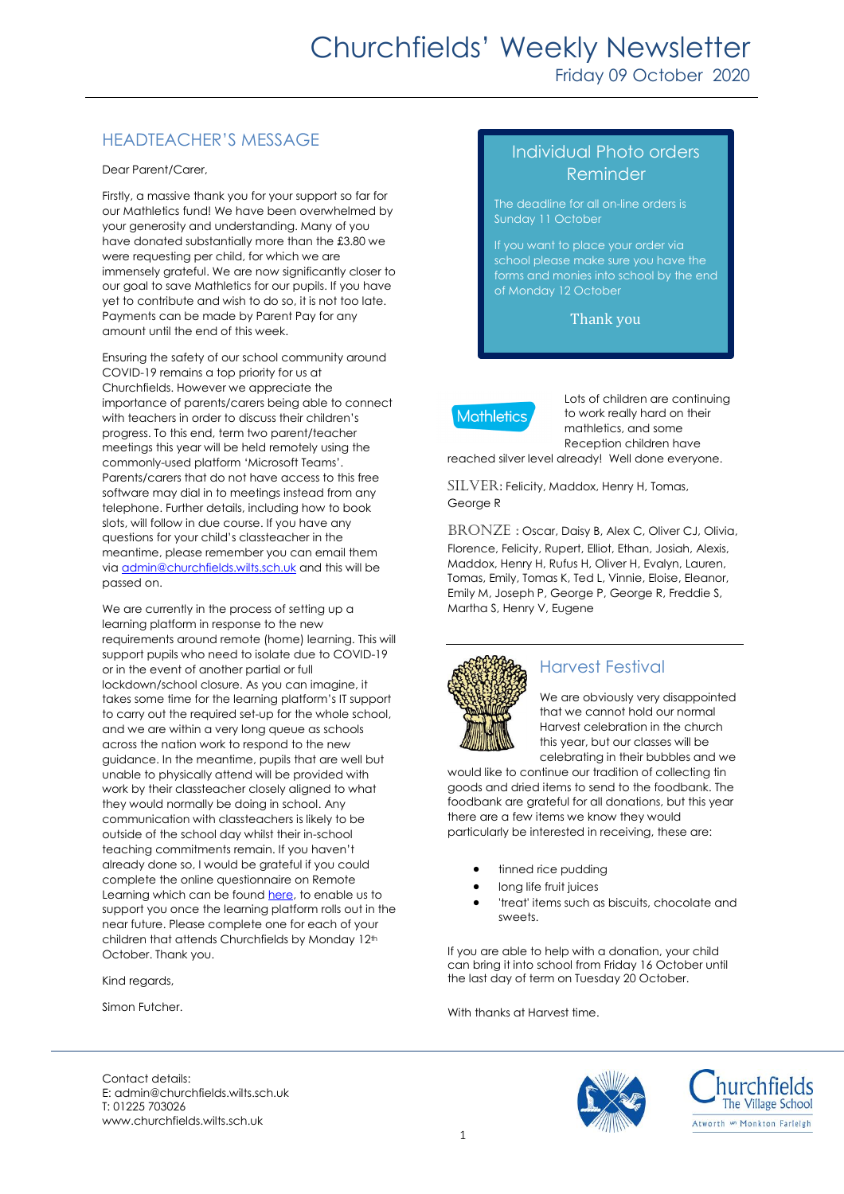# HEADTEACHER'S MESSAGE

Dear Parent/Carer,

Firstly, a massive thank you for your support so far for our Mathletics fund! We have been overwhelmed by your generosity and understanding. Many of you have donated substantially more than the £3.80 we were requesting per child, for which we are immensely grateful. We are now significantly closer to our goal to save Mathletics for our pupils. If you have yet to contribute and wish to do so, it is not too late. Payments can be made by Parent Pay for any amount until the end of this week.

Ensuring the safety of our school community around COVID-19 remains a top priority for us at Churchfields. However we appreciate the importance of parents/carers being able to connect with teachers in order to discuss their children's progress. To this end, term two parent/teacher meetings this year will be held remotely using the commonly-used platform 'Microsoft Teams'. Parents/carers that do not have access to this free software may dial in to meetings instead from any telephone. Further details, including how to book slots, will follow in due course. If you have any questions for your child's classteacher in the meantime, please remember you can email them vi[a admin@churchfields.wilts.sch.uk](mailto:admin@churchfields.wilts.sch.uk) and this will be passed on.

We are currently in the process of setting up a learning platform in response to the new requirements around remote (home) learning. This will support pupils who need to isolate due to COVID-19 or in the event of another partial or full lockdown/school closure. As you can imagine, it takes some time for the learning platform's IT support to carry out the required set-up for the whole school, and we are within a very long queue as schools across the nation work to respond to the new guidance. In the meantime, pupils that are well but unable to physically attend will be provided with work by their classteacher closely aligned to what they would normally be doing in school. Any communication with classteachers is likely to be outside of the school day whilst their in-school teaching commitments remain. If you haven't already done so, I would be grateful if you could complete the online questionnaire on Remote Learning which can be found [here,](https://www.surveymonkey.co.uk/r/SNRD73L) to enable us to support you once the learning platform rolls out in the near future. Please complete one for each of your children that attends Churchfields by Monday 12th October. Thank you.

Kind regards,

Simon Futcher.

# Individual Photo orders Reminder

The deadline for all on-line orders is Sunday 11 October

If you want to place your order via school please make sure you have the forms and monies into school by the end of Monday 12 October

Thank you



Lots of children are continuing to work really hard on their mathletics, and some Reception children have reached silver level already! Well done everyone.

SILVER: Felicity, Maddox, Henry H, Tomas, George R

BRONZE: Oscar, Daisy B, Alex C, Oliver CJ, Olivia, Florence, Felicity, Rupert, Elliot, Ethan, Josiah, Alexis, Maddox, Henry H, Rufus H, Oliver H, Evalyn, Lauren, Tomas, Emily, Tomas K, Ted L, Vinnie, Eloise, Eleanor, Emily M, Joseph P, George P, George R, Freddie S, Martha S, Henry V, Eugene



### Harvest Festival

We are obviously very disappointed that we cannot hold our normal Harvest celebration in the church this year, but our classes will be celebrating in their bubbles and we

would like to continue our tradition of collecting tin goods and dried items to send to the foodbank. The foodbank are grateful for all donations, but this year there are a few items we know they would particularly be interested in receiving, these are:

- tinned rice pudding
- long life fruit juices
- 'treat' items such as biscuits, chocolate and sweets.

If you are able to help with a donation, your child can bring it into school from Friday 16 October until the last day of term on Tuesday 20 October.

With thanks at Harvest time.





Contact details: E: admin@churchfields.wilts.sch.uk T: 01225 703026 www.churchfields.wilts.sch.uk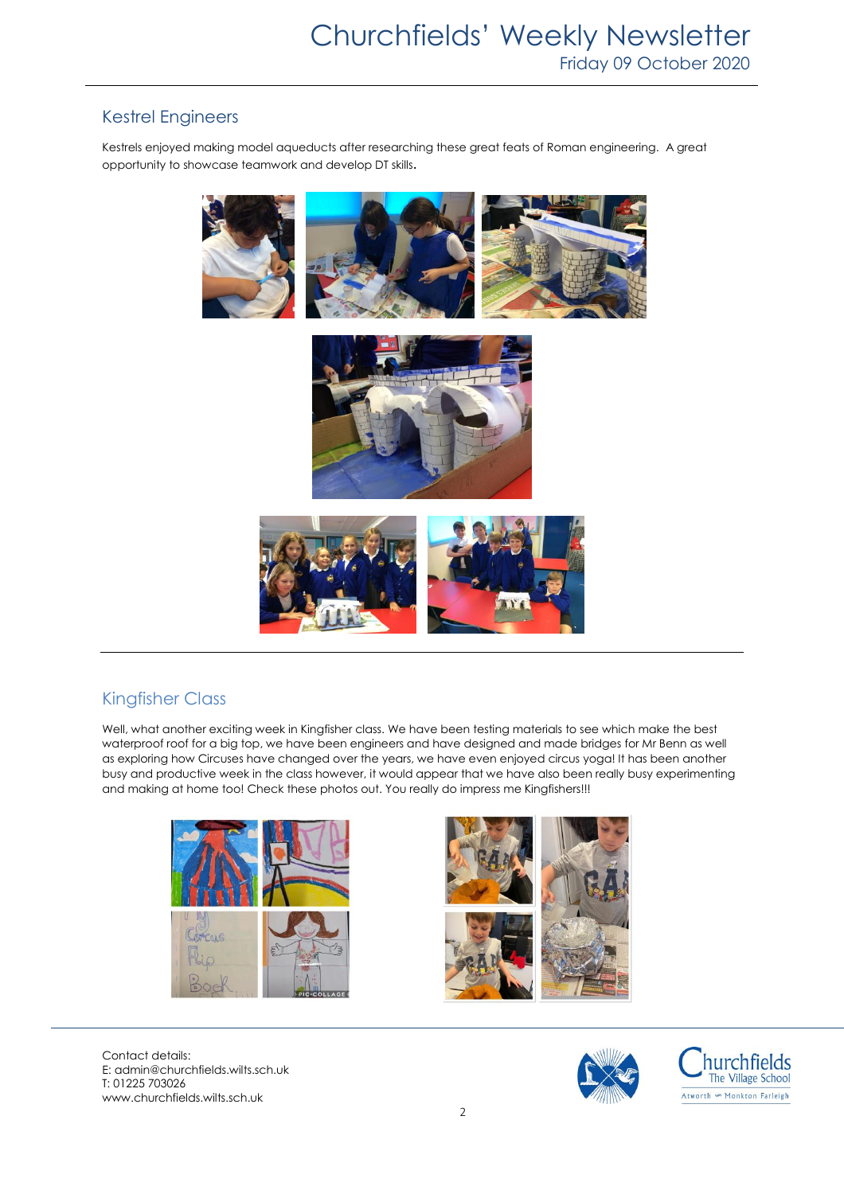### Kestrel Engineers

Kestrels enjoyed making model aqueducts after researching these great feats of Roman engineering. A great opportunity to showcase teamwork and develop DT skills.



## Kingfisher Class

Well, what another exciting week in Kingfisher class. We have been testing materials to see which make the best waterproof roof for a big top, we have been engineers and have designed and made bridges for Mr Benn as well as exploring how Circuses have changed over the years, we have even enjoyed circus yoga! It has been another busy and productive week in the class however, it would appear that we have also been really busy experimenting and making at home too! Check these photos out. You really do impress me Kingfishers!!!





Contact details: E: admin@churchfields.wilts.sch.uk T: 01225 703026 www.churchfields.wilts.sch.uk